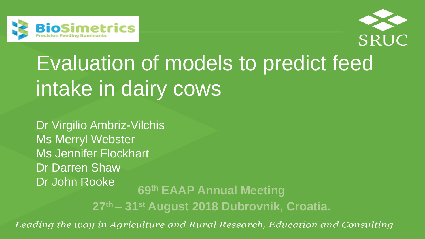



# Evaluation of models to predict feed intake in dairy cows

Dr Virgilio Ambriz-Vilchis Ms Merryl Webster Ms Jennifer Flockhart Dr Darren Shaw Dr John Rooke **69th EAAP Annual Meeting**

**27th – 31st August 2018 Dubrovnik, Croatia.**

Leading the way in Agriculture and Rural Research, Education and Consulting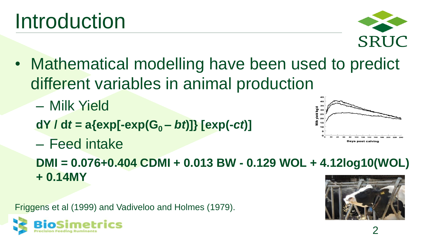

• Mathematical modelling have been used to predict different variables in animal production

– Milk Yield

- **dY /**  $dt = a\{exp[-exp(G_0 bt)]\}$   $[exp(-ct)]$
- Feed intake

**DMI = 0.076+0.404 CDMI + 0.013 BW - 0.129 WOL + 4.12log10(WOL) + 0.14MY**

Friggens et al (1999) and Vadiveloo and Holmes (1979).





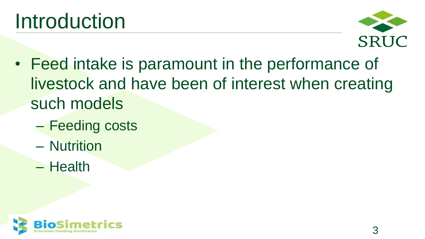

- Feed intake is paramount in the performance of livestock and have been of interest when creating such models
	- Feeding costs
	- Nutrition
	- Health

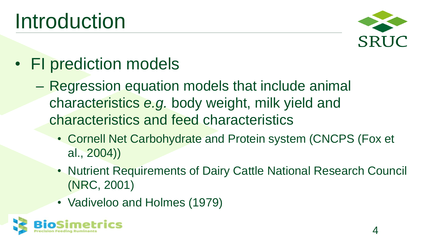

- FI prediction models
	- Regression equation models that include animal characteristics *e.g.* body weight, milk yield and characteristics and feed characteristics
		- Cornell Net Carbohydrate and Protein system (CNCPS (Fox et al., 2004))
		- Nutrient Requirements of Dairy Cattle National Research Council (NRC, 2001)
		- Vadiveloo and Holmes (1979)

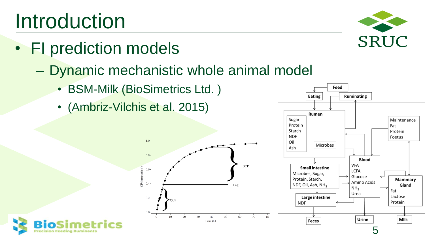#### 5

# Introduction

- FI prediction models
	- Dynamic mechanistic whole animal model
		- BSM-Milk (BioSimetrics Ltd.)

 $1.0 -$ 

 $0.8$ 

 $0.4$ 

 $0.2 -$ 

 $10<sup>°</sup>$ 

 $20$ 

 $CP$ (proportion  $0.6 -$ 

• (Ambriz-Vilchis et al. 2015)



Eating

Feed

Ruminating



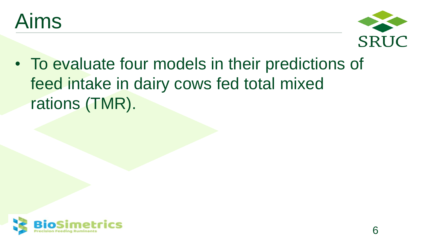



• To evaluate four models in their predictions of feed intake in dairy cows fed total mixed rations (TMR).

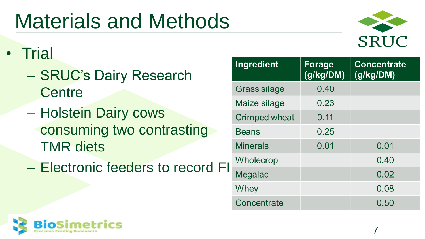# Materials and Methods



7

- Trial
	- SRUC's Dairy Research **Centre**
	- Holstein Dairy cows consuming two contrasting TMR diets
	- Electronic feeders to record FI

| <b>Ingredient</b>    | Forage<br>(g/kg/DM) | <b>Concentrate</b><br>(g/kg/DM) |
|----------------------|---------------------|---------------------------------|
| Grass silage         | 0.40                |                                 |
| Maize silage         | 0.23                |                                 |
| <b>Crimped wheat</b> | 0.11                |                                 |
| <b>Beans</b>         | 0.25                |                                 |
| <b>Minerals</b>      | 0.01                | 0.01                            |
| Wholecrop            |                     | 0.40                            |
| Megalac              |                     | 0.02                            |
| Whey                 |                     | 0.08                            |
| Concentrate          |                     | 0.50                            |

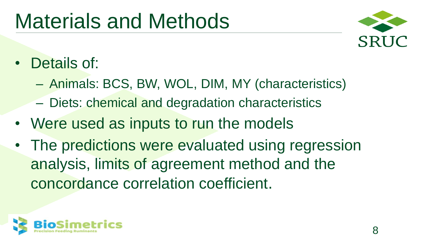#### Materials and Methods



- Details of:
	- Animals: BCS, BW, WOL, DIM, MY (characteristics)
	- Diets: chemical and degradation characteristics
- Were used as inputs to run the models
- The predictions were evaluated using regression analysis, limits of agreement method and the concordance correlation coefficient.

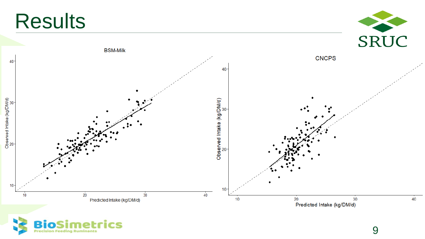





9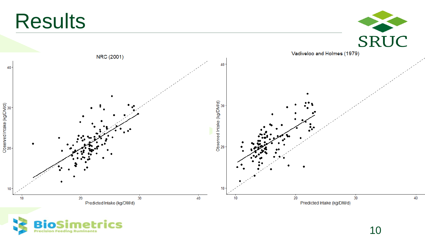



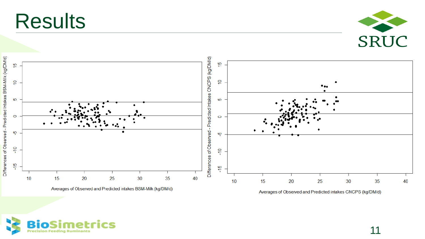

Averages of Observed and Predicted intakes CNCPS (kg/DM/d)

**Simetrics Bio Precision Feeding Ruminants** 

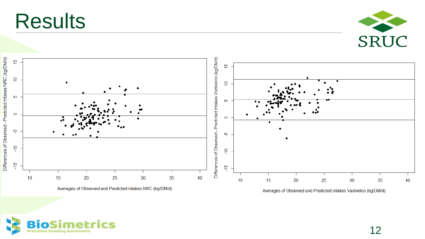



Averages of Observed and Predicted intakes Vadiveloo (kg/DM/d)

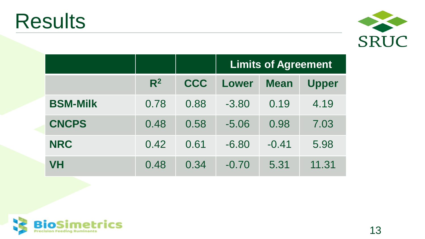

|                 |                |            | <b>Limits of Agreement</b> |             |              |
|-----------------|----------------|------------|----------------------------|-------------|--------------|
|                 | R <sup>2</sup> | <b>CCC</b> | Lower                      | <b>Mean</b> | <b>Upper</b> |
| <b>BSM-Milk</b> | 0.78           | 0.88       | $-3.80$                    | 0.19        | 4.19         |
| <b>CNCPS</b>    | 0.48           | 0.58       | $-5.06$                    | 0.98        | 7.03         |
| <b>NRC</b>      | 0.42           | 0.61       | $-6.80$                    | $-0.41$     | 5.98         |
| <b>VH</b>       | 0.48           | 0.34       | $-0.70$                    | 5.31        | 11.31        |

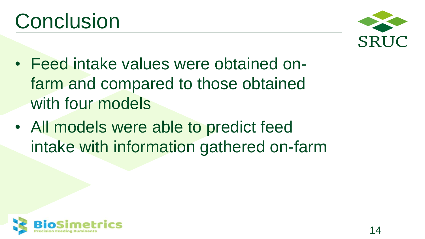

- Feed intake values were obtained onfarm and compared to those obtained with four models
- All models were able to predict feed intake with information gathered on-farm

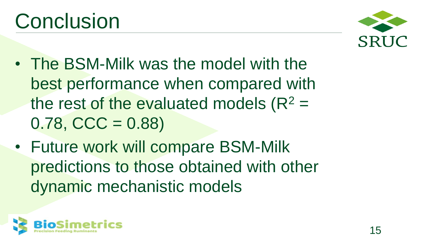

- The BSM-Milk was the model with the best performance when compared with the rest of the evaluated models  $(R^2 =$  $0.78,$  CCC = 0.88)
- Future work will compare BSM-Milk predictions to those obtained with other dynamic mechanistic models